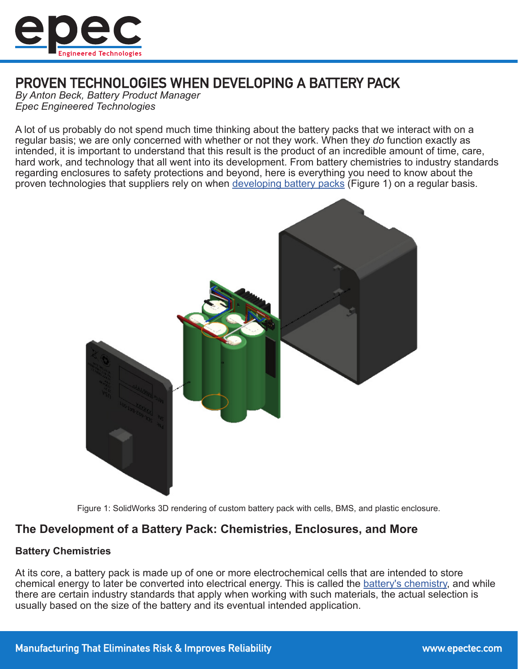

# PROVEN TECHNOLOGIES WHEN DEVELOPING A BATTERY PACK

*By Anton Beck, Battery Product Manager Epec Engineered Technologies*

A lot of us probably do not spend much time thinking about the battery packs that we interact with on a regular basis; we are only concerned with whether or not they work. When they *do* function exactly as intended, it is important to understand that this result is the product of an incredible amount of time, care, hard work, and technology that all went into its development. From battery chemistries to industry standards regarding enclosures to safety protections and beyond, here is everything you need to know about the proven technologies that suppliers rely on when [developing battery packs](https://www.epectec.com/batteries/) (Figure 1) on a regular basis.



Figure 1: SolidWorks 3D rendering of custom battery pack with cells, BMS, and plastic enclosure.

## **The Development of a Battery Pack: Chemistries, Enclosures, and More**

#### **Battery Chemistries**

At its core, a battery pack is made up of one or more electrochemical cells that are intended to store chemical energy to later be converted into electrical energy. This is called the [battery's chemistry,](https://www.epectec.com/batteries/chemistry/) and while there are certain industry standards that apply when working with such materials, the actual selection is usually based on the size of the battery and its eventual intended application.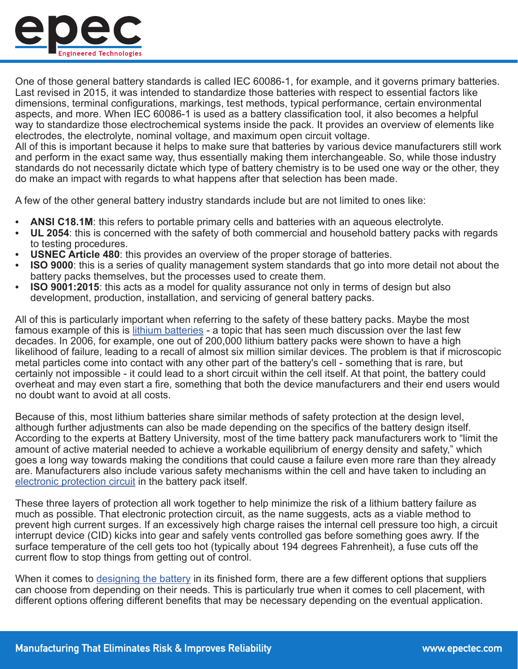

One of those general battery standards is called IEC 60086-1, for example, and it governs primary batteries. Last revised in 2015, it was intended to standardize those batteries with respect to essential factors like dimensions, terminal configurations, markings, test methods, typical performance, certain environmental aspects, and more. When IEC 60086-1 is used as a battery classification tool, it also becomes a helpful way to standardize those electrochemical systems inside the pack. It provides an overview of elements like electrodes, the electrolyte, nominal voltage, and maximum open circuit voltage.

All of this is important because it helps to make sure that batteries by various device manufacturers still work and perform in the exact same way, thus essentially making them interchangeable. So, while those industry standards do not necessarily dictate which type of battery chemistry is to be used one way or the other, they do make an impact with regards to what happens after that selection has been made.

A few of the other general battery industry standards include but are not limited to ones like:

- **• ANSI C18.1M**: this refers to portable primary cells and batteries with an aqueous electrolyte.
- **• UL 2054**: this is concerned with the safety of both commercial and household battery packs with regards to testing procedures.
- **• USNEC Article 480**: this provides an overview of the proper storage of batteries.
- **• ISO 9000**: this is a series of quality management system standards that go into more detail not about the battery packs themselves, but the processes used to create them.
- **• ISO 9001:2015**: this acts as a model for quality assurance not only in terms of design but also development, production, installation, and servicing of general battery packs.

All of this is particularly important when referring to the safety of these battery packs. Maybe the most famous example of this is [lithium batteries](https://www.epectec.com/batteries/lithium-battery-technologies.html) - a topic that has seen much discussion over the last few decades. In 2006, for example, one out of 200,000 lithium battery packs were shown to have a high likelihood of failure, leading to a recall of almost six million similar devices. The problem is that if microscopic metal particles come into contact with any other part of the battery's cell - something that is rare, but certainly not impossible - it could lead to a short circuit within the cell itself. At that point, the battery could overheat and may even start a fire, something that both the device manufacturers and their end users would no doubt want to avoid at all costs.

Because of this, most lithium batteries share similar methods of safety protection at the design level, although further adjustments can also be made depending on the specifics of the battery design itself. According to the experts at Battery University, most of the time battery pack manufacturers work to "limit the amount of active material needed to achieve a workable equilibrium of energy density and safety," which goes a long way towards making the conditions that could cause a failure even more rare than they already are. Manufacturers also include various safety mechanisms within the cell and have taken to including an [electronic protection circuit](https://www.epectec.com/batteries/protection-circuit-modules.html) in the battery pack itself.

These three layers of protection all work together to help minimize the risk of a lithium battery failure as much as possible. That electronic protection circuit, as the name suggests, acts as a viable method to prevent high current surges. If an excessively high charge raises the internal cell pressure too high, a circuit interrupt device (CID) kicks into gear and safely vents controlled gas before something goes awry. If the surface temperature of the cell gets too hot (typically about 194 degrees Fahrenheit), a fuse cuts off the current flow to stop things from getting out of control.

When it comes to [designing the battery](https://www.epectec.com/batteries/design-services.html) in its finished form, there are a few different options that suppliers can choose from depending on their needs. This is particularly true when it comes to cell placement, with different options offering different benefits that may be necessary depending on the eventual application.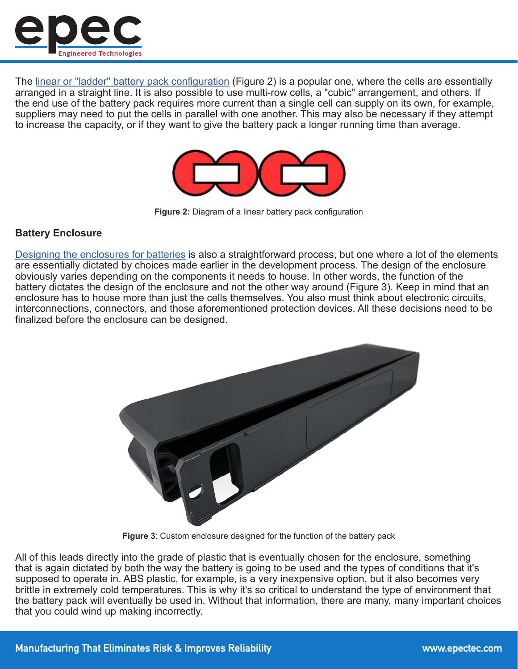

The [linear or "ladder" battery pack configuration](https://www.epectec.com/batteries/battery-configuration.html) (Figure 2) is a popular one, where the cells are essentially arranged in a straight line. It is also possible to use multi-row cells, a "cubic" arrangement, and others. If the end use of the battery pack requires more current than a single cell can supply on its own, for example, suppliers may need to put the cells in parallel with one another. This may also be necessary if they attempt to increase the capacity, or if they want to give the battery pack a longer running time than average.



**Figure 2:** Diagram of a linear battery pack configuration

### **Battery Enclosure**

[Designing the enclosures for batteries](https://www.epectec.com/batteries/battery-enclosure-design.html) is also a straightforward process, but one where a lot of the elements are essentially dictated by choices made earlier in the development process. The design of the enclosure obviously varies depending on the components it needs to house. In other words, the function of the battery dictates the design of the enclosure and not the other way around (Figure 3). Keep in mind that an enclosure has to house more than just the cells themselves. You also must think about electronic circuits, interconnections, connectors, and those aforementioned protection devices. All these decisions need to be finalized before the enclosure can be designed.



**Figure 3**: Custom enclosure designed for the function of the battery pack

All of this leads directly into the grade of plastic that is eventually chosen for the enclosure, something that is again dictated by both the way the battery is going to be used and the types of conditions that it's supposed to operate in. ABS plastic, for example, is a very inexpensive option, but it also becomes very brittle in extremely cold temperatures. This is why it's so critical to understand the type of environment that the battery pack will eventually be used in. Without that information, there are many, many important choices that you could wind up making incorrectly.